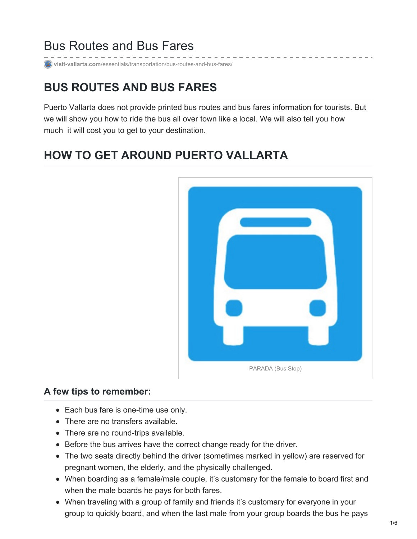### Bus Routes and Bus Fares

**visit-vallarta.com**[/essentials/transportation/bus-routes-and-bus-fares/](http://visit-vallarta.com/essentials/transportation/bus-routes-and-bus-fares/)

## **BUS ROUTES AND BUS FARES**

Puerto Vallarta does not provide printed bus routes and bus fares information for tourists. But we will show you how to ride the bus all over town like a local. We will also tell you how much it will cost you to get to your destination.

# **HOW TO GET AROUND PUERTO VALLARTA**



#### **A few tips to remember:**

- Each bus fare is one-time use only.
- There are no transfers available.
- There are no round-trips available.
- Before the bus arrives have the correct change ready for the driver.
- The two seats directly behind the driver (sometimes marked in yellow) are reserved for pregnant women, the elderly, and the physically challenged.
- When boarding as a female/male couple, it's customary for the female to board first and when the male boards he pays for both fares.
- When traveling with a group of family and friends it's customary for everyone in your group to quickly board, and when the last male from your group boards the bus he pays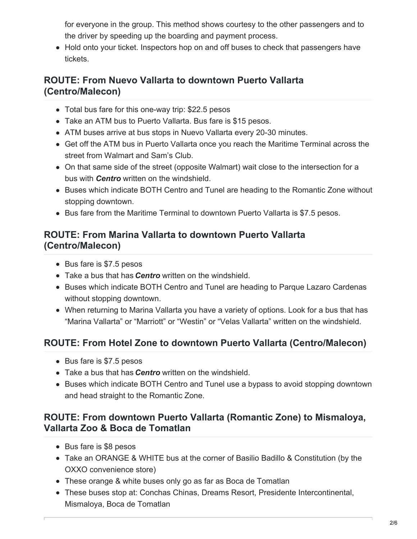for everyone in the group. This method shows courtesy to the other passengers and to the driver by speeding up the boarding and payment process.

• Hold onto your ticket. Inspectors hop on and off buses to check that passengers have tickets.

#### **ROUTE: From Nuevo Vallarta to downtown Puerto Vallarta (Centro/Malecon)**

- Total bus fare for this one-way trip: \$22.5 pesos
- Take an ATM bus to Puerto Vallarta. Bus fare is \$15 pesos.
- ATM buses arrive at bus stops in Nuevo Vallarta every 20-30 minutes.
- Get off the ATM bus in Puerto Vallarta once you reach the Maritime Terminal across the street from Walmart and Sam's Club.
- On that same side of the street (opposite Walmart) wait close to the intersection for a bus with *Centro* written on the windshield.
- Buses which indicate BOTH Centro and Tunel are heading to the Romantic Zone without stopping downtown.
- Bus fare from the Maritime Terminal to downtown Puerto Vallarta is \$7.5 pesos.

#### **ROUTE: From Marina Vallarta to downtown Puerto Vallarta (Centro/Malecon)**

- Bus fare is \$7.5 pesos
- Take a bus that has *Centro* written on the windshield.
- Buses which indicate BOTH Centro and Tunel are heading to Parque Lazaro Cardenas without stopping downtown.
- When returning to Marina Vallarta you have a variety of options. Look for a bus that has "Marina Vallarta" or "Marriott" or "Westin" or "Velas Vallarta" written on the windshield.

### **ROUTE: From Hotel Zone to downtown Puerto Vallarta (Centro/Malecon)**

- Bus fare is \$7.5 pesos
- Take a bus that has *Centro* written on the windshield.
- Buses which indicate BOTH Centro and Tunel use a bypass to avoid stopping downtown and head straight to the Romantic Zone.

#### **ROUTE: From downtown Puerto Vallarta (Romantic Zone) to Mismaloya, Vallarta Zoo & Boca de Tomatlan**

- Bus fare is \$8 pesos
- Take an ORANGE & WHITE bus at the corner of Basilio Badillo & Constitution (by the OXXO convenience store)
- These orange & white buses only go as far as Boca de Tomatlan
- These buses stop at: Conchas Chinas, Dreams Resort, Presidente Intercontinental, Mismaloya, Boca de Tomatlan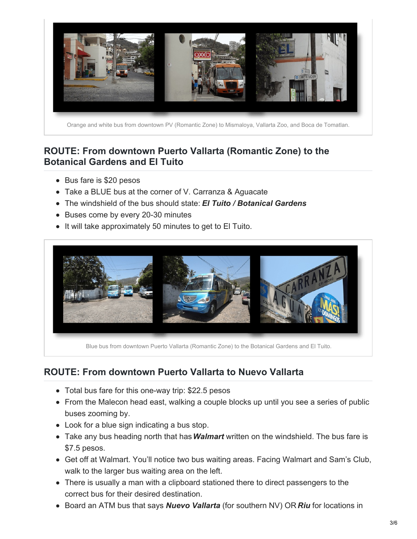

#### **ROUTE: From downtown Puerto Vallarta (Romantic Zone) to the Botanical Gardens and El Tuito**

- Bus fare is \$20 pesos
- Take a BLUE bus at the corner of V. Carranza & Aguacate
- The windshield of the bus should state: *El Tuito / Botanical Gardens*
- Buses come by every 20-30 minutes
- It will take approximately 50 minutes to get to El Tuito.



Blue bus from downtown Puerto Vallarta (Romantic Zone) to the Botanical Gardens and El Tuito.

#### **ROUTE: From downtown Puerto Vallarta to Nuevo Vallarta**

- Total bus fare for this one-way trip: \$22.5 pesos
- From the Malecon head east, walking a couple blocks up until you see a series of public buses zooming by.
- Look for a blue sign indicating a bus stop.
- Take any bus heading north that has*Walmart* written on the windshield. The bus fare is \$7.5 pesos.
- Get off at Walmart. You'll notice two bus waiting areas. Facing Walmart and Sam's Club, walk to the larger bus waiting area on the left.
- There is usually a man with a clipboard stationed there to direct passengers to the correct bus for their desired destination.
- Board an ATM bus that says *Nuevo Vallarta* (for southern NV) OR *Riu* for locations in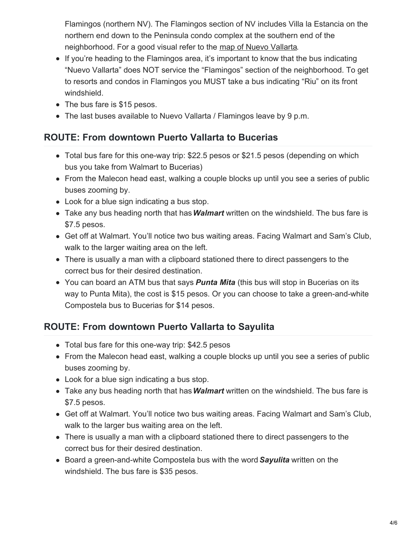Flamingos (northern NV). The Flamingos section of NV includes Villa la Estancia on the northern end down to the Peninsula condo complex at the southern end of the neighborhood. For a good visual refer to the map of Nuevo [Vallarta](http://visit-vallarta.com/wp-content/uploads/2014/07/Nuevo-Vallarta-The-Essentials-Full-Color.pdf).

- If you're heading to the Flamingos area, it's important to know that the bus indicating "Nuevo Vallarta" does NOT service the "Flamingos" section of the neighborhood. To get to resorts and condos in Flamingos you MUST take a bus indicating "Riu" on its front windshield.
- The bus fare is \$15 pesos.
- The last buses available to Nuevo Vallarta / Flamingos leave by 9 p.m.

#### **ROUTE: From downtown Puerto Vallarta to Bucerias**

- Total bus fare for this one-way trip: \$22.5 pesos or \$21.5 pesos (depending on which bus you take from Walmart to Bucerias)
- From the Malecon head east, walking a couple blocks up until you see a series of public buses zooming by.
- Look for a blue sign indicating a bus stop.
- Take any bus heading north that has*Walmart* written on the windshield. The bus fare is \$7.5 pesos.
- Get off at Walmart. You'll notice two bus waiting areas. Facing Walmart and Sam's Club, walk to the larger waiting area on the left.
- There is usually a man with a clipboard stationed there to direct passengers to the correct bus for their desired destination.
- You can board an ATM bus that says **Punta Mita** (this bus will stop in Bucerias on its way to Punta Mita), the cost is \$15 pesos. Or you can choose to take a green-and-white Compostela bus to Bucerias for \$14 pesos.

### **ROUTE: From downtown Puerto Vallarta to Sayulita**

- Total bus fare for this one-way trip: \$42.5 pesos
- From the Malecon head east, walking a couple blocks up until you see a series of public buses zooming by.
- Look for a blue sign indicating a bus stop.
- Take any bus heading north that has*Walmart* written on the windshield. The bus fare is \$7.5 pesos.
- Get off at Walmart. You'll notice two bus waiting areas. Facing Walmart and Sam's Club, walk to the larger bus waiting area on the left.
- There is usually a man with a clipboard stationed there to direct passengers to the correct bus for their desired destination.
- Board a green-and-white Compostela bus with the word*Sayulita* written on the windshield. The bus fare is \$35 pesos.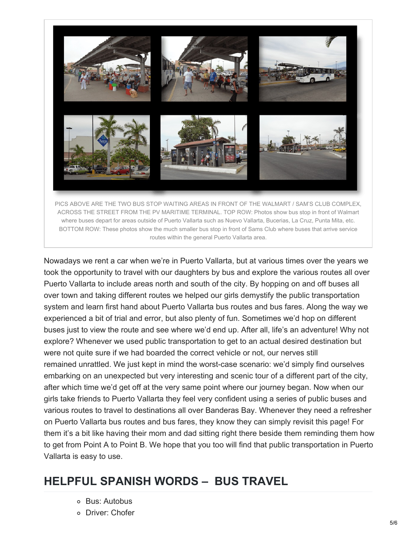

Nowadays we rent a car when we're in Puerto Vallarta, but at various times over the years we took the opportunity to travel with our daughters by bus and explore the various routes all over Puerto Vallarta to include areas north and south of the city. By hopping on and off buses all over town and taking different routes we helped our girls demystify the public transportation system and learn first hand about Puerto Vallarta bus routes and bus fares. Along the way we experienced a bit of trial and error, but also plenty of fun. Sometimes we'd hop on different buses just to view the route and see where we'd end up. After all, life's an adventure! Why not explore? Whenever we used public transportation to get to an actual desired destination but were not quite sure if we had boarded the correct vehicle or not, our nerves still remained unrattled. We just kept in mind the worst-case scenario: we'd simply find ourselves embarking on an unexpected but very interesting and scenic tour of a different part of the city, after which time we'd get off at the very same point where our journey began. Now when our girls take friends to Puerto Vallarta they feel very confident using a series of public buses and various routes to travel to destinations all over Banderas Bay. Whenever they need a refresher on Puerto Vallarta bus routes and bus fares, they know they can simply revisit this page! For them it's a bit like having their mom and dad sitting right there beside them reminding them how to get from Point A to Point B. We hope that you too will find that public transportation in Puerto Vallarta is easy to use.

### **HELPFUL SPANISH WORDS – BUS TRAVEL**

- Bus: Autobus
- Driver: Chofer